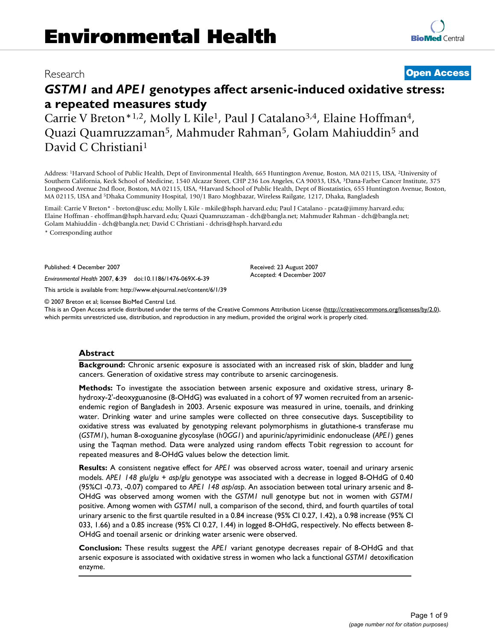# Research **[Open Access](http://www.biomedcentral.com/info/about/charter/)**

# *GSTM1* **and** *APE1* **genotypes affect arsenic-induced oxidative stress: a repeated measures study**

Carrie V Breton\*1,2, Molly L Kile1, Paul J Catalano3,4, Elaine Hoffman4, Quazi Quamruzzaman5, Mahmuder Rahman5, Golam Mahiuddin5 and David C Christiani1

Address: 1Harvard School of Public Health, Dept of Environmental Health, 665 Huntington Avenue, Boston, MA 02115, USA, 2University of Southern California, Keck School of Medicine, 1540 Alcazar Street, CHP 236 Los Angeles, CA 90033, USA, 3Dana-Farber Cancer Institute, 375 Longwood Avenue 2nd floor, Boston, MA 02115, USA, 4Harvard School of Public Health, Dept of Biostatistics, 655 Huntington Avenue, Boston, MA 02115, USA and 5Dhaka Community Hospital, 190/1 Baro Moghbazar, Wireless Railgate, 1217, Dhaka, Bangladesh

Email: Carrie V Breton\* - breton@usc.edu; Molly L Kile - mkile@hsph.harvard.edu; Paul J Catalano - pcata@jimmy.harvard.edu; Elaine Hoffman - ehoffman@hsph.harvard.edu; Quazi Quamruzzaman - dch@bangla.net; Mahmuder Rahman - dch@bangla.net; Golam Mahiuddin - dch@bangla.net; David C Christiani - dchris@hsph.harvard.edu

\* Corresponding author

Published: 4 December 2007

*Environmental Health* 2007, **6**:39 doi:10.1186/1476-069X-6-39

[This article is available from: http://www.ehjournal.net/content/6/1/39](http://www.ehjournal.net/content/6/1/39)

© 2007 Breton et al; licensee BioMed Central Ltd.

This is an Open Access article distributed under the terms of the Creative Commons Attribution License [\(http://creativecommons.org/licenses/by/2.0\)](http://creativecommons.org/licenses/by/2.0), which permits unrestricted use, distribution, and reproduction in any medium, provided the original work is properly cited.

Received: 23 August 2007 Accepted: 4 December 2007

#### **Abstract**

**Background:** Chronic arsenic exposure is associated with an increased risk of skin, bladder and lung cancers. Generation of oxidative stress may contribute to arsenic carcinogenesis.

**Methods:** To investigate the association between arsenic exposure and oxidative stress, urinary 8 hydroxy-2'-deoxyguanosine (8-OHdG) was evaluated in a cohort of 97 women recruited from an arsenicendemic region of Bangladesh in 2003. Arsenic exposure was measured in urine, toenails, and drinking water. Drinking water and urine samples were collected on three consecutive days. Susceptibility to oxidative stress was evaluated by genotyping relevant polymorphisms in glutathione-s transferase mu (*GSTM1*), human 8-oxoguanine glycosylase (*hOGG1*) and apurinic/apyrimidinic endonuclease (*APE1*) genes using the Taqman method. Data were analyzed using random effects Tobit regression to account for repeated measures and 8-OHdG values below the detection limit.

**Results:** A consistent negative effect for *APE1* was observed across water, toenail and urinary arsenic models. *APE1 148 glu/glu + asp/glu* genotype was associated with a decrease in logged 8-OHdG of 0.40 (95%CI -0.73, -0.07) compared to *APE1 148 asp/asp*. An association between total urinary arsenic and 8- OHdG was observed among women with the *GSTM1* null genotype but not in women with *GSTM1* positive. Among women with *GSTM1* null, a comparison of the second, third, and fourth quartiles of total urinary arsenic to the first quartile resulted in a 0.84 increase (95% CI 0.27, 1.42), a 0.98 increase (95% CI 033, 1.66) and a 0.85 increase (95% CI 0.27, 1.44) in logged 8-OHdG, respectively. No effects between 8- OHdG and toenail arsenic or drinking water arsenic were observed.

**Conclusion:** These results suggest the *APE1* variant genotype decreases repair of 8-OHdG and that arsenic exposure is associated with oxidative stress in women who lack a functional *GSTM1* detoxification enzyme.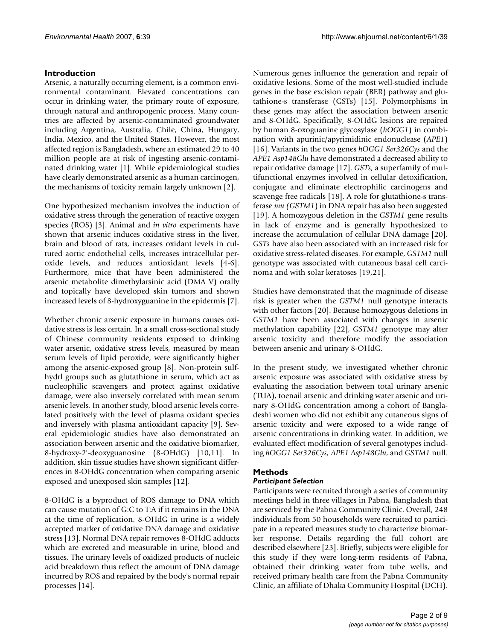# **Introduction**

Arsenic, a naturally occurring element, is a common environmental contaminant. Elevated concentrations can occur in drinking water, the primary route of exposure, through natural and anthropogenic process. Many countries are affected by arsenic-contaminated groundwater including Argentina, Australia, Chile, China, Hungary, India, Mexico, and the United States. However, the most affected region is Bangladesh, where an estimated 29 to 40 million people are at risk of ingesting arsenic-contaminated drinking water [1]. While epidemiological studies have clearly demonstrated arsenic as a human carcinogen, the mechanisms of toxicity remain largely unknown [2].

One hypothesized mechanism involves the induction of oxidative stress through the generation of reactive oxygen species (ROS) [3]. Animal and *in vitro* experiments have shown that arsenic induces oxidative stress in the liver, brain and blood of rats, increases oxidant levels in cultured aortic endothelial cells, increases intracellular peroxide levels, and reduces antioxidant levels [4-6]. Furthermore, mice that have been administered the arsenic metabolite dimethylarsinic acid (DMA V) orally and topically have developed skin tumors and shown increased levels of 8-hydroxyguanine in the epidermis [7].

Whether chronic arsenic exposure in humans causes oxidative stress is less certain. In a small cross-sectional study of Chinese community residents exposed to drinking water arsenic, oxidative stress levels, measured by mean serum levels of lipid peroxide, were significantly higher among the arsenic-exposed group [8]. Non-protein sulfhydrl groups such as glutathione in serum, which act as nucleophilic scavengers and protect against oxidative damage, were also inversely correlated with mean serum arsenic levels. In another study, blood arsenic levels correlated positively with the level of plasma oxidant species and inversely with plasma antioxidant capacity [9]. Several epidemiologic studies have also demonstrated an association between arsenic and the oxidative biomarker, 8-hydroxy-2'-deoxyguanosine (8-OHdG) [10,11]. In addition, skin tissue studies have shown significant differences in 8-OHdG concentration when comparing arsenic exposed and unexposed skin samples [12].

8-OHdG is a byproduct of ROS damage to DNA which can cause mutation of G:C to T:A if it remains in the DNA at the time of replication. 8-OHdG in urine is a widely accepted marker of oxidative DNA damage and oxidative stress [13]. Normal DNA repair removes 8-OHdG adducts which are excreted and measurable in urine, blood and tissues. The urinary levels of oxidized products of nucleic acid breakdown thus reflect the amount of DNA damage incurred by ROS and repaired by the body's normal repair processes [14].

Numerous genes influence the generation and repair of oxidative lesions. Some of the most well-studied include genes in the base excision repair (BER) pathway and glutathione-s transferase (GSTs) [15]. Polymorphisms in these genes may affect the association between arsenic and 8-OHdG. Specifically, 8-OHdG lesions are repaired by human 8-oxoguanine glycosylase (*hOGG1*) in combination with apurinic/apyrimidinic endonuclease (*APE1*) [16]. Variants in the two genes *hOGG1 Ser326Cys* and the *APE1 Asp148Glu* have demonstrated a decreased ability to repair oxidative damage [17]. *GSTs*, a superfamily of multifunctional enzymes involved in cellular detoxification, conjugate and eliminate electrophilic carcinogens and scavenge free radicals [18]. A role for glutathione-s transferase *mu (GSTM1*) in DNA repair has also been suggested [19]. A homozygous deletion in the *GSTM1* gene results in lack of enzyme and is generally hypothesized to increase the accumulation of cellular DNA damage [20]. *GSTs* have also been associated with an increased risk for oxidative stress-related diseases. For example, *GSTM1* null genotype was associated with cutaneous basal cell carcinoma and with solar keratoses [19,21].

Studies have demonstrated that the magnitude of disease risk is greater when the *GSTM1* null genotype interacts with other factors [20]. Because homozygous deletions in *GSTM1* have been associated with changes in arsenic methylation capability [22], *GSTM1* genotype may alter arsenic toxicity and therefore modify the association between arsenic and urinary 8-OHdG.

In the present study, we investigated whether chronic arsenic exposure was associated with oxidative stress by evaluating the association between total urinary arsenic (TUA), toenail arsenic and drinking water arsenic and urinary 8-OHdG concentration among a cohort of Bangladeshi women who did not exhibit any cutaneous signs of arsenic toxicity and were exposed to a wide range of arsenic concentrations in drinking water. In addition, we evaluated effect modification of several genotypes including *hOGG1 Ser326Cys, APE1 Asp148Glu*, and *GSTM1* null.

# **Methods**

# *Participant Selection*

Participants were recruited through a series of community meetings held in three villages in Pabna, Bangladesh that are serviced by the Pabna Community Clinic. Overall, 248 individuals from 50 households were recruited to participate in a repeated measures study to characterize biomarker response. Details regarding the full cohort are described elsewhere [23]. Briefly, subjects were eligible for this study if they were long-term residents of Pabna, obtained their drinking water from tube wells, and received primary health care from the Pabna Community Clinic, an affiliate of Dhaka Community Hospital (DCH).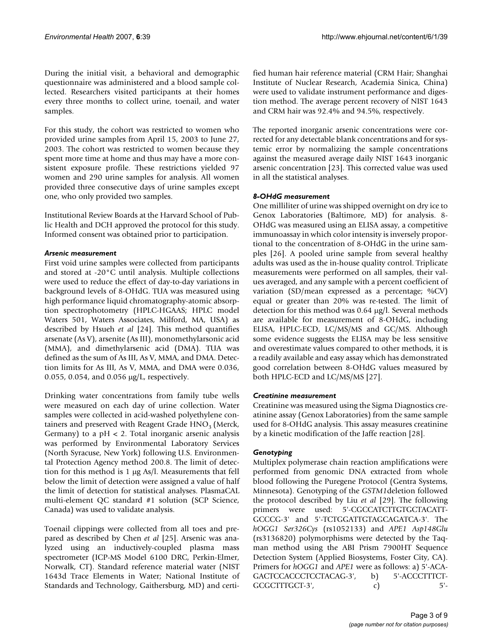During the initial visit, a behavioral and demographic questionnaire was administered and a blood sample collected. Researchers visited participants at their homes every three months to collect urine, toenail, and water samples.

For this study, the cohort was restricted to women who provided urine samples from April 15, 2003 to June 27, 2003. The cohort was restricted to women because they spent more time at home and thus may have a more consistent exposure profile. These restrictions yielded 97 women and 290 urine samples for analysis. All women provided three consecutive days of urine samples except one, who only provided two samples.

Institutional Review Boards at the Harvard School of Public Health and DCH approved the protocol for this study. Informed consent was obtained prior to participation.

# *Arsenic measurement*

First void urine samples were collected from participants and stored at -20°C until analysis. Multiple collections were used to reduce the effect of day-to-day variations in background levels of 8-OHdG. TUA was measured using high performance liquid chromatography-atomic absorption spectrophotometry (HPLC-HGAAS; HPLC model Waters 501, Waters Associates, Milford, MA, USA) as described by Hsueh *et al* [24]. This method quantifies arsenate (As V), arsenite (As III), monomethylarsonic acid (MMA), and dimethylarsenic acid (DMA). TUA was defined as the sum of As III, As V, MMA, and DMA. Detection limits for As III, As V, MMA, and DMA were 0.036, 0.055, 0.054, and 0.056 µg/L, respectively.

Drinking water concentrations from family tube wells were measured on each day of urine collection. Water samples were collected in acid-washed polyethylene containers and preserved with Reagent Grade  $HNO<sub>3</sub>$  (Merck, Germany) to a  $pH < 2$ . Total inorganic arsenic analysis was performed by Environmental Laboratory Services (North Syracuse, New York) following U.S. Environmental Protection Agency method 200.8. The limit of detection for this method is 1 µg As/l. Measurements that fell below the limit of detection were assigned a value of half the limit of detection for statistical analyses. PlasmaCAL multi-element QC standard #1 solution (SCP Science, Canada) was used to validate analysis.

Toenail clippings were collected from all toes and prepared as described by Chen *et al* [25]. Arsenic was analyzed using an inductively-coupled plasma mass spectrometer (ICP-MS Model 6100 DRC, Perkin-Elmer, Norwalk, CT). Standard reference material water (NIST 1643d Trace Elements in Water; National Institute of Standards and Technology, Gaithersburg, MD) and certified human hair reference material (CRM Hair; Shanghai Institute of Nuclear Research, Academia Sinica, China) were used to validate instrument performance and digestion method. The average percent recovery of NIST 1643 and CRM hair was 92.4% and 94.5%, respectively.

The reported inorganic arsenic concentrations were corrected for any detectable blank concentrations and for systemic error by normalizing the sample concentrations against the measured average daily NIST 1643 inorganic arsenic concentration [23]. This corrected value was used in all the statistical analyses.

# *8-OHdG measurement*

One milliliter of urine was shipped overnight on dry ice to Genox Laboratories (Baltimore, MD) for analysis. 8- OHdG was measured using an ELISA assay, a competitive immunoassay in which color intensity is inversely proportional to the concentration of 8-OHdG in the urine samples [26]. A pooled urine sample from several healthy adults was used as the in-house quality control. Triplicate measurements were performed on all samples, their values averaged, and any sample with a percent coefficient of variation (SD/mean expressed as a percentage; %CV) equal or greater than 20% was re-tested. The limit of detection for this method was 0.64 µg/l. Several methods are available for measurement of 8-OHdG, including ELISA, HPLC-ECD, LC/MS/MS and GC/MS. Although some evidence suggests the ELISA may be less sensitive and overestimate values compared to other methods, it is a readily available and easy assay which has demonstrated good correlation between 8-OHdG values measured by both HPLC-ECD and LC/MS/MS [27].

# *Creatinine measurement*

Creatinine was measured using the Sigma Diagnostics creatinine assay (Genox Laboratories) from the same sample used for 8-OHdG analysis. This assay measures creatinine by a kinetic modification of the Jaffe reaction [28].

# *Genotyping*

Multiplex polymerase chain reaction amplifications were performed from genomic DNA extracted from whole blood following the Puregene Protocol (Gentra Systems, Minnesota). Genotyping of the *GSTM1*deletion followed the protocol described by Liu *et al* [29]. The following primers were used: 5'-CGCCATCTTGTGCTACATT-GCCCG-3' and 5'-TCTGGATTGTAGCAGATCA-3'. The *hOGG1 Ser326Cys* (rs1052133) and *APE1 Asp148Glu* (rs3136820) polymorphisms were detected by the Taqman method using the ABI Prism 7900HT Sequence Detection System (Applied Biosystems, Foster City, CA). Primers for *hOGG1* and *APE1* were as follows: a) 5'-ACA-GACTCCACCCTCCTACAG-3', b) 5'-ACCCTTTCT-GCGCTTTGCT-3', c) 5'-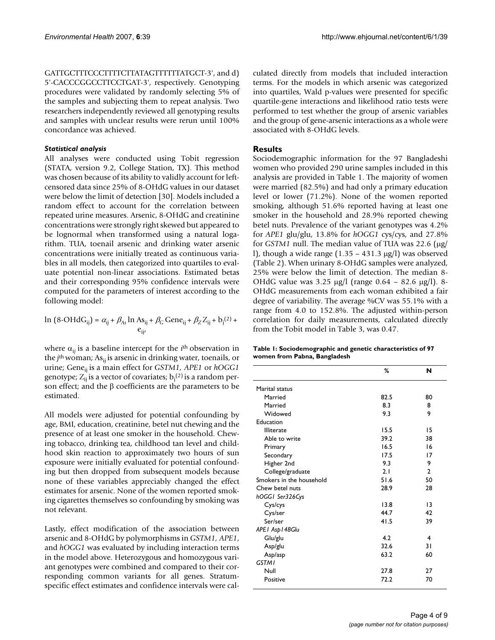GATTGCTTTCCCTTTTCTTATAGTTTTTTATGCT-3', and d) 5'-CACCCGGCCTTCCTGAT-3', respectively. Genotyping procedures were validated by randomly selecting 5% of the samples and subjecting them to repeat analysis. Two researchers independently reviewed all genotyping results and samples with unclear results were rerun until 100% concordance was achieved.

#### *Statistical analysis*

All analyses were conducted using Tobit regression (STATA, version 9.2, College Station, TX). This method was chosen because of its ability to validly account for leftcensored data since 25% of 8-OHdG values in our dataset were below the limit of detection [30]. Models included a random effect to account for the correlation between repeated urine measures. Arsenic, 8-OHdG and creatinine concentrations were strongly right skewed but appeared to be lognormal when transformed using a natural logarithm. TUA, toenail arsenic and drinking water arsenic concentrations were initially treated as continuous variables in all models, then categorized into quartiles to evaluate potential non-linear associations. Estimated betas and their corresponding 95% confidence intervals were computed for the parameters of interest according to the following model:

$$
\ln (8-OHdG_{ij}) = \alpha_{ij} + \beta_{As} \ln As_{ij} + \beta_G \text{Gene}_{ij} + \beta_Z Z_{ij} + b_j^{(2)} + e_{ij'}
$$

where  $\alpha_{ii}$  is a baseline intercept for the *i*<sup>th</sup> observation in the *j*<sup>th</sup> woman; As<sub>ij</sub> is arsenic in drinking water, toenails, or urine; Gene<sub>ij</sub> is a main effect for *GSTM1*, *APE1* or *hOGG1* genotype;  $Z_{ij}$  is a vector of covariates;  $b_j^{(2)}$  is a random person effect; and the β coefficients are the parameters to be estimated.

All models were adjusted for potential confounding by age, BMI, education, creatinine, betel nut chewing and the presence of at least one smoker in the household. Chewing tobacco, drinking tea, childhood tan level and childhood skin reaction to approximately two hours of sun exposure were initially evaluated for potential confounding but then dropped from subsequent models because none of these variables appreciably changed the effect estimates for arsenic. None of the women reported smoking cigarettes themselves so confounding by smoking was not relevant.

Lastly, effect modification of the association between arsenic and 8-OHdG by polymorphisms in *GSTM1, APE1*, and *hOGG1* was evaluated by including interaction terms in the model above. Heterozygous and homozygous variant genotypes were combined and compared to their corresponding common variants for all genes. Stratumspecific effect estimates and confidence intervals were calculated directly from models that included interaction terms. For the models in which arsenic was categorized into quartiles, Wald p-values were presented for specific quartile-gene interactions and likelihood ratio tests were performed to test whether the group of arsenic variables and the group of gene-arsenic interactions as a whole were associated with 8-OHdG levels.

# **Results**

Sociodemographic information for the 97 Bangladeshi women who provided 290 urine samples included in this analysis are provided in Table 1. The majority of women were married (82.5%) and had only a primary education level or lower (71.2%). None of the women reported smoking, although 51.6% reported having at least one smoker in the household and 28.9% reported chewing betel nuts. Prevalence of the variant genotypes was 4.2% for *APE1* glu/glu, 13.8% for *hOGG1* cys/cys, and 27.8% for *GSTM1* null. The median value of TUA was 22.6 (µg/ l), though a wide range  $(1.35 - 431.3 \text{ µg/l})$  was observed (Table 2). When urinary 8-OHdG samples were analyzed, 25% were below the limit of detection. The median 8- OHdG value was 3.25 µg/l (range 0.64 – 82.6 µg/l). 8- OHdG measurements from each woman exhibited a fair degree of variability. The average %CV was 55.1% with a range from 4.0 to 152.8%. The adjusted within-person correlation for daily measurements, calculated directly from the Tobit model in Table 3, was 0.47.

| Table 1: Sociodemographic and genetic characteristics of 97 |  |
|-------------------------------------------------------------|--|
| women from Pabna, Bangladesh                                |  |

|                          | %    | N              |
|--------------------------|------|----------------|
| Marital status           |      |                |
| Married                  | 82.5 | 80             |
| Married                  | 8.3  | 8              |
| Widowed                  | 9.3  | 9              |
| Education                |      |                |
| <b>Illiterate</b>        | 15.5 | 15             |
| Able to write            | 39.2 | 38             |
| Primary                  | 16.5 | 16             |
| Secondary                | 17.5 | 17             |
| Higher 2nd               | 9.3  | 9              |
| College/graduate         | 2.1  | $\overline{2}$ |
| Smokers in the household | 51.6 | 50             |
| Chew betel nuts          | 28.9 | 28             |
| hOGGI Ser326Cys          |      |                |
| Cys/cys                  | 13.8 | 13             |
| Cys/ser                  | 44.7 | 42             |
| Ser/ser                  | 41.5 | 39             |
| APE I Asp I 48Glu        |      |                |
| Glu/glu                  | 4.2  | 4              |
| Asp/glu                  | 32.6 | 31             |
| Asp/asp                  | 63.2 | 60             |
| <b>GSTM1</b>             |      |                |
| Null                     | 27.8 | 27             |
| Positive                 | 72.2 | 70             |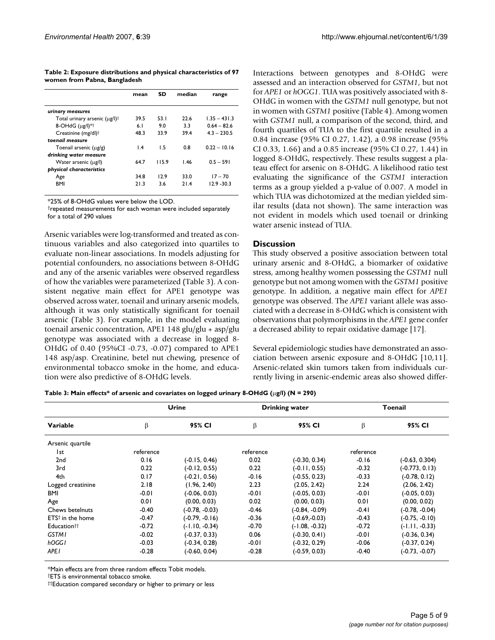**Table 2: Exposure distributions and physical characteristics of 97 women from Pabna, Bangladesh**

|                                           | mean            | <b>SD</b> | median | range          |
|-------------------------------------------|-----------------|-----------|--------|----------------|
| urinary measures                          |                 |           |        |                |
| Total urinary arsenic (µg/l) <sup>†</sup> | 39.5            | 53 1      | 22 G   | $1.35 - 431.3$ |
| $8$ -OHdG $(\mu$ g/l $)*$                 | 6.1             | 9.0       | 33     | $0.64 - 82.6$  |
| Creatinine (mg/dl) <sup>†</sup>           | 48.3            | 33.9      | 39.4   | $4.3 - 230.5$  |
| toenail measure                           |                 |           |        |                |
| Toenail arsenic (ug/g)                    | $\mathsf{I}$ .4 | 1.5       | 0.8    | $0.22 - 10.16$ |
| drinking water measure                    |                 |           |        |                |
| Water arsenic (µg/l)                      | 64.7            | 115.9     | 1.46   | $0.5 - 591$    |
| physical characteristics                  |                 |           |        |                |
| Age                                       | 34.8            | 12.9      | 330    | $17 - 70$      |
| <b>BMI</b>                                | 213             | 36        | 214    | $12.9 - 30.3$  |

\*25% of 8-OHdG values were below the LOD.

†repeated measurements for each woman were included separately for a total of 290 values

Arsenic variables were log-transformed and treated as continuous variables and also categorized into quartiles to evaluate non-linear associations. In models adjusting for potential confounders, no associations between 8-OHdG and any of the arsenic variables were observed regardless of how the variables were parameterized (Table 3). A consistent negative main effect for APE1 genotype was observed across water, toenail and urinary arsenic models, although it was only statistically significant for toenail arsenic (Table 3). For example, in the model evaluating toenail arsenic concentration, APE1 148 glu/glu + asp/glu genotype was associated with a decrease in logged 8- OHdG of 0.40 (95%CI -0.73, -0.07) compared to APE1 148 asp/asp. Creatinine, betel nut chewing, presence of environmental tobacco smoke in the home, and education were also predictive of 8-OHdG levels.

Interactions between genotypes and 8-OHdG were assessed and an interaction observed for *GSTM1*, but not for *APE1* or *hOGG1*. TUA was positively associated with 8- OHdG in women with the *GSTM1* null genotype, but not in women with *GSTM1* positive (Table 4). Among women with *GSTM1* null, a comparison of the second, third, and fourth quartiles of TUA to the first quartile resulted in a 0.84 increase (95% CI 0.27, 1.42), a 0.98 increase (95% CI 0.33, 1.66) and a 0.85 increase (95% CI 0.27, 1.44) in logged 8-OHdG, respectively. These results suggest a plateau effect for arsenic on 8-OHdG. A likelihood ratio test evaluating the significance of the *GSTM1* interaction terms as a group yielded a p-value of 0.007. A model in which TUA was dichotomized at the median yielded similar results (data not shown). The same interaction was not evident in models which used toenail or drinking water arsenic instead of TUA.

#### **Discussion**

This study observed a positive association between total urinary arsenic and 8-OHdG, a biomarker of oxidative stress, among healthy women possessing the *GSTM1* null genotype but not among women with the *GSTM1* positive genotype. In addition, a negative main effect for *APE1* genotype was observed. The *APE1* variant allele was associated with a decrease in 8-OHdG which is consistent with observations that polymorphisms in the *APE1* gene confer a decreased ability to repair oxidative damage [17].

Several epidemiologic studies have demonstrated an association between arsenic exposure and 8-OHdG [10,11]. Arsenic-related skin tumors taken from individuals currently living in arsenic-endemic areas also showed differ-

**Table 3: Main effects\* of arsenic and covariates on logged urinary 8-OHdG (**µ**g/l) (N = 290)**

|                         | Urine     |                  |           | <b>Drinking water</b> | Toenail   |                  |
|-------------------------|-----------|------------------|-----------|-----------------------|-----------|------------------|
| Variable                | β         | 95% CI           | β         | 95% CI                | β         | 95% CI           |
| Arsenic quartile        |           |                  |           |                       |           |                  |
| l st                    | reference |                  | reference |                       | reference |                  |
| 2 <sub>nd</sub>         | 0.16      | $(-0.15, 0.46)$  | 0.02      | $(-0.30, 0.34)$       | $-0.16$   | (-0.63, 0.304)   |
| 3rd                     | 0.22      | $(-0.12, 0.55)$  | 0.22      | $(-0.11, 0.55)$       | $-0.32$   | (-0.773, 0.13)   |
| 4th                     | 0.17      | $(-0.21, 0.56)$  | $-0.16$   | $(-0.55, 0.23)$       | $-0.33$   | $(-0.78, 0.12)$  |
| Logged creatinine       | 2.18      | (1.96, 2.40)     | 2.23      | (2.05, 2.42)          | 2.24      | (2.06, 2.42)     |
| <b>BMI</b>              | $-0.01$   | (-0.06, 0.03)    | $-0.01$   | $(-0.05, 0.03)$       | $-0.01$   | $(-0.05, 0.03)$  |
| Age                     | 0.01      | (0.00, 0.03)     | 0.02      | (0.00, 0.03)          | 0.01      | (0.00, 0.02)     |
| Chews betelnuts         | $-0.40$   | (-0.78, -0.03)   | $-0.46$   | (-0.84, -0.09)        | $-0.41$   | $(-0.78, -0.04)$ |
| $ETS†$ in the home      | $-0.47$   | (-0.79, -0.16)   | $-0.36$   | (-0.69,-0.03)         | $-0.43$   | $(-0.75, -0.10)$ |
| Education <sup>††</sup> | $-0.72$   | $(-1.10, -0.34)$ | $-0.70$   | $(-1.08, -0.32)$      | $-0.72$   | $(-1.11, -0.33)$ |
| <b>GSTM1</b>            | $-0.02$   | (-0.37, 0.33)    | 0.06      | $(-0.30, 0.41)$       | $-0.01$   | $(-0.36, 0.34)$  |
| hOGGI                   | $-0.03$   | $(-0.34, 0.28)$  | $-0.01$   | $(-0.32, 0.29)$       | $-0.06$   | $(-0.37, 0.24)$  |
| APE <sub>I</sub>        | $-0.28$   | $(-0.60, 0.04)$  | $-0.28$   | $(-0.59, 0.03)$       | $-0.40$   | $(-0.73, -0.07)$ |

\*Main effects are from three random effects Tobit models.

†ETS is environmental tobacco smoke.

††Education compared secondary or higher to primary or less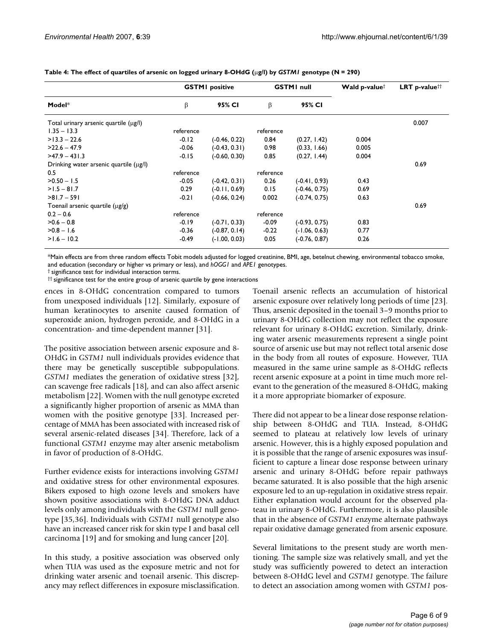|                                        | <b>GSTMI</b> positive |                 | <b>GSTMI</b> null |                 | Wald p-value <sup>†</sup> | <b>LRT</b> p-value <sup>††</sup> |
|----------------------------------------|-----------------------|-----------------|-------------------|-----------------|---------------------------|----------------------------------|
| Model*                                 | β                     | 95% CI          | β                 | 95% CI          |                           |                                  |
| Total urinary arsenic quartile (µg/l)  |                       |                 |                   |                 |                           | 0.007                            |
| $1.35 - 13.3$                          | reference             |                 | reference         |                 |                           |                                  |
| $>13.3 - 22.6$                         | $-0.12$               | $(-0.46, 0.22)$ | 0.84              | (0.27, 1.42)    | 0.004                     |                                  |
| $>22.6 - 47.9$                         | $-0.06$               | $(-0.43, 0.31)$ | 0.98              | (0.33, 1.66)    | 0.005                     |                                  |
| $>47.9 - 431.3$                        | $-0.15$               | $(-0.60, 0.30)$ | 0.85              | (0.27, 1.44)    | 0.004                     |                                  |
| Drinking water arsenic quartile (µg/l) |                       |                 |                   |                 |                           | 0.69                             |
| 0.5                                    | reference             |                 | reference         |                 |                           |                                  |
| $>0.50 - 1.5$                          | $-0.05$               | $(-0.42, 0.31)$ | 0.26              | $(-0.41, 0.93)$ | 0.43                      |                                  |
| $>1.5 - 81.7$                          | 0.29                  | $(-0.11, 0.69)$ | 0.15              | $(-0.46, 0.75)$ | 0.69                      |                                  |
| $>81.7 - 591$                          | $-0.21$               | $(-0.66, 0.24)$ | 0.002             | $(-0.74, 0.75)$ | 0.63                      |                                  |
| Toenail arsenic quartile $(\mu g/g)$   |                       |                 |                   |                 |                           | 0.69                             |
| $0.2 - 0.6$                            | reference             |                 | reference         |                 |                           |                                  |
| $>0.6 - 0.8$                           | $-0.19$               | $(-0.71, 0.33)$ | $-0.09$           | $(-0.93, 0.75)$ | 0.83                      |                                  |
| $>0.8 - 1.6$                           | $-0.36$               | $(-0.87, 0.14)$ | $-0.22$           | $(-1.06, 0.63)$ | 0.77                      |                                  |
| $>1.6 - 10.2$                          | $-0.49$               | $(-1.00, 0.03)$ | 0.05              | $(-0.76, 0.87)$ | 0.26                      |                                  |

#### **Table 4: The effect of quartiles of arsenic on logged urinary 8-OHdG (**µ**g/l) by** *GSTM1* **genotype (N = 290)**

\*Main effects are from three random effects Tobit models adjusted for logged creatinine, BMI, age, betelnut chewing, environmental tobacco smoke, and education (secondary or higher vs primary or less), and *hOGG1* and *APE1* genotypes.

† significance test for individual interaction terms.

†† significance test for the entire group of arsenic quartile by gene interactions

ences in 8-OHdG concentration compared to tumors from unexposed individuals [12]. Similarly, exposure of human keratinocytes to arsenite caused formation of superoxide anion, hydrogen peroxide, and 8-OHdG in a concentration- and time-dependent manner [31].

The positive association between arsenic exposure and 8- OHdG in *GSTM1* null individuals provides evidence that there may be genetically susceptible subpopulations. *GSTM1* mediates the generation of oxidative stress [32], can scavenge free radicals [18], and can also affect arsenic metabolism [22]. Women with the null genotype excreted a significantly higher proportion of arsenic as MMA than women with the positive genotype [33]. Increased percentage of MMA has been associated with increased risk of several arsenic-related diseases [34]. Therefore, lack of a functional *GSTM1* enzyme may alter arsenic metabolism in favor of production of 8-OHdG.

Further evidence exists for interactions involving *GSTM1* and oxidative stress for other environmental exposures. Bikers exposed to high ozone levels and smokers have shown positive associations with 8-OHdG DNA adduct levels only among individuals with the *GSTM1* null genotype [35,36]. Individuals with *GSTM1* null genotype also have an increased cancer risk for skin type I and basal cell carcinoma [19] and for smoking and lung cancer [20].

In this study, a positive association was observed only when TUA was used as the exposure metric and not for drinking water arsenic and toenail arsenic. This discrepancy may reflect differences in exposure misclassification.

Toenail arsenic reflects an accumulation of historical arsenic exposure over relatively long periods of time [23]. Thus, arsenic deposited in the toenail 3–9 months prior to urinary 8-OHdG collection may not reflect the exposure relevant for urinary 8-OHdG excretion. Similarly, drinking water arsenic measurements represent a single point source of arsenic use but may not reflect total arsenic dose in the body from all routes of exposure. However, TUA measured in the same urine sample as 8-OHdG reflects recent arsenic exposure at a point in time much more relevant to the generation of the measured 8-OHdG, making it a more appropriate biomarker of exposure.

There did not appear to be a linear dose response relationship between 8-OHdG and TUA. Instead, 8-OHdG seemed to plateau at relatively low levels of urinary arsenic. However, this is a highly exposed population and it is possible that the range of arsenic exposures was insufficient to capture a linear dose response between urinary arsenic and urinary 8-OHdG before repair pathways became saturated. It is also possible that the high arsenic exposure led to an up-regulation in oxidative stress repair. Either explanation would account for the observed plateau in urinary 8-OHdG. Furthermore, it is also plausible that in the absence of *GSTM1* enzyme alternate pathways repair oxidative damage generated from arsenic exposure.

Several limitations to the present study are worth mentioning. The sample size was relatively small, and yet the study was sufficiently powered to detect an interaction between 8-OHdG level and *GSTM1* genotype. The failure to detect an association among women with *GSTM1* pos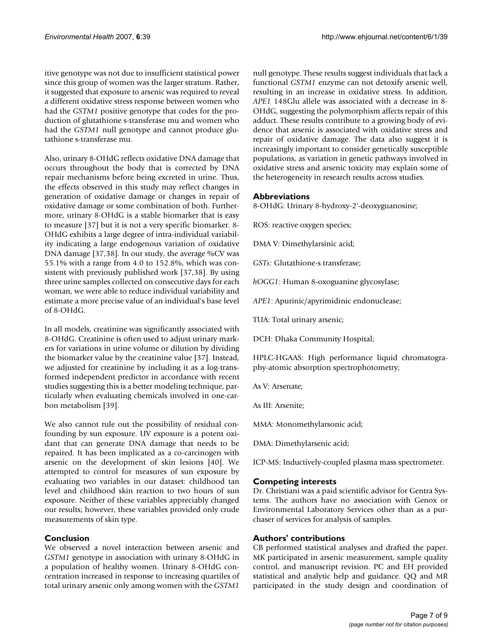itive genotype was not due to insufficient statistical power since this group of women was the larger stratum. Rather, it suggested that exposure to arsenic was required to reveal a different oxidative stress response between women who had the *GSTM1* positive genotype that codes for the production of glutathione s-transferase mu and women who had the *GSTM1* null genotype and cannot produce glutathione s-transferase mu.

Also, urinary 8-OHdG reflects oxidative DNA damage that occurs throughout the body that is corrected by DNA repair mechanisms before being excreted in urine. Thus, the effects observed in this study may reflect changes in generation of oxidative damage or changes in repair of oxidative damage or some combination of both. Furthermore, urinary 8-OHdG is a stable biomarker that is easy to measure [37] but it is not a very specific biomarker. 8- OHdG exhibits a large degree of intra-individual variability indicating a large endogenous variation of oxidative DNA damage [37,38]. In our study, the average %CV was 55.1% with a range from 4.0 to 152.8%, which was consistent with previously published work [37,38]. By using three urine samples collected on consecutive days for each woman, we were able to reduce individual variability and estimate a more precise value of an individual's base level of 8-OHdG.

In all models, creatinine was significantly associated with 8-OHdG. Creatinine is often used to adjust urinary markers for variations in urine volume or dilution by dividing the biomarker value by the creatinine value [37]. Instead, we adjusted for creatinine by including it as a log-transformed independent predictor in accordance with recent studies suggesting this is a better modeling technique, particularly when evaluating chemicals involved in one-carbon metabolism [39].

We also cannot rule out the possibility of residual confounding by sun exposure. UV exposure is a potent oxidant that can generate DNA damage that needs to be repaired. It has been implicated as a co-carcinogen with arsenic on the development of skin lesions [40]. We attempted to control for measures of sun exposure by evaluating two variables in our dataset: childhood tan level and childhood skin reaction to two hours of sun exposure. Neither of these variables appreciably changed our results; however, these variables provided only crude measurements of skin type.

# **Conclusion**

We observed a novel interaction between arsenic and *GSTM1* genotype in association with urinary 8-OHdG in a population of healthy women. Urinary 8-OHdG concentration increased in response to increasing quartiles of total urinary arsenic only among women with the *GSTM1*

null genotype. These results suggest individuals that lack a functional *GSTM1* enzyme can not detoxify arsenic well, resulting in an increase in oxidative stress. In addition, *APE1* 148Glu allele was associated with a decrease in 8- OHdG, suggesting the polymorphism affects repair of this adduct. These results contribute to a growing body of evidence that arsenic is associated with oxidative stress and repair of oxidative damage. The data also suggest it is increasingly important to consider genetically susceptible populations, as variation in genetic pathways involved in oxidative stress and arsenic toxicity may explain some of the heterogeneity in research results across studies.

# **Abbreviations**

8-OHdG: Urinary 8-hydroxy-2'-deoxyguanosine;

ROS: reactive oxygen species;

DMA V: Dimethylarsinic acid;

*GSTs:* Glutathione-s transferase;

*hOGG1:* Human 8-oxoguanine glycosylase;

*APE1*: Apurinic/apyrimidinic endonuclease;

TUA: Total urinary arsenic;

DCH: Dhaka Community Hospital;

HPLC-HGAAS: High performance liquid chromatography-atomic absorption spectrophotometry;

As V: Arsenate;

As III: Arsenite;

MMA: Monomethylarsonic acid;

DMA: Dimethylarsenic acid;

ICP-MS: Inductively-coupled plasma mass spectrometer.

# **Competing interests**

Dr. Christiani was a paid scientific advisor for Gentra Systems. The authors have no association with Genox or Environmental Laboratory Services other than as a purchaser of services for analysis of samples.

# **Authors' contributions**

CB performed statistical analyses and drafted the paper. MK participated in arsenic measurement, sample quality control, and manuscript revision. PC and EH provided statistical and analytic help and guidance. QQ and MR participated in the study design and coordination of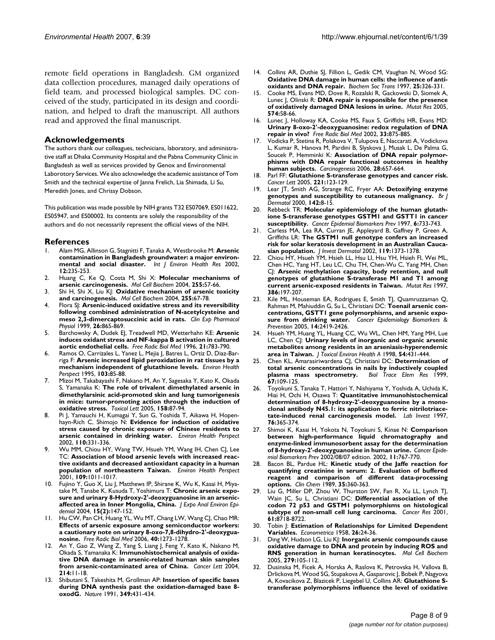remote field operations in Bangladesh. GM organized data collection procedures, managed daily operations of field team, and processed biological samples. DC conceived of the study, participated in its design and coordination, and helped to draft the manuscript. All authors read and approved the final manuscript.

### **Acknowledgements**

The authors thank our colleagues, technicians, laboratory, and administrative staff at Dhaka Community Hospital and the Pabna Community Clinic in Bangladesh as well as services provided by Genox and Environmental Laborotory Services. We also acknowledge the academic assistance of Tom Smith and the technical expertise of Janna Frelich, Lia Shimada, Li Su, Meredith Jones, and Chrissy Dobson.

This publication was made possible by NIH grants T32 ES07069, ES011622, ES05947, and ES00002. Its contents are solely the responsibility of the authors and do not necessarily represent the official views of the NIH.

#### **References**

- 1. Alam MG, Allinson G, Stagnitti F, Tanaka A, Westbrooke M: **[Arsenic](http://www.ncbi.nlm.nih.gov/entrez/query.fcgi?cmd=Retrieve&db=PubMed&dopt=Abstract&list_uids=12396524) [contamination in Bangladesh groundwater: a major environ](http://www.ncbi.nlm.nih.gov/entrez/query.fcgi?cmd=Retrieve&db=PubMed&dopt=Abstract&list_uids=12396524)[mental and social disaster.](http://www.ncbi.nlm.nih.gov/entrez/query.fcgi?cmd=Retrieve&db=PubMed&dopt=Abstract&list_uids=12396524)** *Int J Environ Health Res* 2002, **12:**235-253.
- 2. Huang C, Ke Q, Costa M, Shi X: **[Molecular mechanisms of](http://www.ncbi.nlm.nih.gov/entrez/query.fcgi?cmd=Retrieve&db=PubMed&dopt=Abstract&list_uids=14971646) [arsenic carcinogenesis.](http://www.ncbi.nlm.nih.gov/entrez/query.fcgi?cmd=Retrieve&db=PubMed&dopt=Abstract&list_uids=14971646)** *Mol Cell Biochem* 2004, **255:**57-66.
- 3. Shi H, Shi X, Liu KJ: **[Oxidative mechanism of arsenic toxicity](http://www.ncbi.nlm.nih.gov/entrez/query.fcgi?cmd=Retrieve&db=PubMed&dopt=Abstract&list_uids=14971647) [and carcinogenesis.](http://www.ncbi.nlm.nih.gov/entrez/query.fcgi?cmd=Retrieve&db=PubMed&dopt=Abstract&list_uids=14971647)** *Mol Cell Biochem* 2004, **255:**67-78.
- 4. Flora SJ: **[Arsenic-induced oxidative stress and its reversibility](http://www.ncbi.nlm.nih.gov/entrez/query.fcgi?cmd=Retrieve&db=PubMed&dopt=Abstract&list_uids=10561806) [following combined administration of N-acetylcysteine and](http://www.ncbi.nlm.nih.gov/entrez/query.fcgi?cmd=Retrieve&db=PubMed&dopt=Abstract&list_uids=10561806) [meso 2,3-dimercaptosuccinic acid in rats.](http://www.ncbi.nlm.nih.gov/entrez/query.fcgi?cmd=Retrieve&db=PubMed&dopt=Abstract&list_uids=10561806)** *Clin Exp Pharmacol Physiol* 1999, **26:**865-869.
- 5. Barchowsky A, Dudek EJ, Treadwell MD, Wetterhahn KE: **[Arsenic](http://www.ncbi.nlm.nih.gov/entrez/query.fcgi?cmd=Retrieve&db=PubMed&dopt=Abstract&list_uids=8902524) [induces oxidant stress and NF-kappa B activation in cultured](http://www.ncbi.nlm.nih.gov/entrez/query.fcgi?cmd=Retrieve&db=PubMed&dopt=Abstract&list_uids=8902524) [aortic endothelial cells.](http://www.ncbi.nlm.nih.gov/entrez/query.fcgi?cmd=Retrieve&db=PubMed&dopt=Abstract&list_uids=8902524)** *Free Radic Biol Med* 1996, **21:**783-790.
- Ramos O, Carrizales L, Yanez L, Mejia J, Batres L, Ortiz D, Diaz-Barriga F: **[Arsenic increased lipid peroxidation in rat tissues by a](http://www.ncbi.nlm.nih.gov/entrez/query.fcgi?cmd=Retrieve&db=PubMed&dopt=Abstract&list_uids=7621808) [mechanism independent of glutathione levels.](http://www.ncbi.nlm.nih.gov/entrez/query.fcgi?cmd=Retrieve&db=PubMed&dopt=Abstract&list_uids=7621808)** *Environ Health Perspect* 1995, **103:**85-88.
- 7. Mizoi M, Takabayashi F, Nakano M, An Y, Sagesaka Y, Kato K, Okada S, Yamanaka K: **[The role of trivalent dimethylated arsenic in](http://www.ncbi.nlm.nih.gov/entrez/query.fcgi?cmd=Retrieve&db=PubMed&dopt=Abstract&list_uids=16039397) dimethylarsinic acid-promoted skin and lung tumorigenesis [in mice: tumor-promoting action through the induction of](http://www.ncbi.nlm.nih.gov/entrez/query.fcgi?cmd=Retrieve&db=PubMed&dopt=Abstract&list_uids=16039397) [oxidative stress.](http://www.ncbi.nlm.nih.gov/entrez/query.fcgi?cmd=Retrieve&db=PubMed&dopt=Abstract&list_uids=16039397)** *Toxicol Lett* 2005, **158:**87-94.
- 8. Pi J, Yamauchi H, Kumagai Y, Sun G, Yoshida T, Aikawa H, Hopenhayn-Rich C, Shimojo N: **[Evidence for induction of oxidative](http://www.ncbi.nlm.nih.gov/entrez/query.fcgi?cmd=Retrieve&db=PubMed&dopt=Abstract&list_uids=11940449) [stress caused by chronic exposure of Chinese residents to](http://www.ncbi.nlm.nih.gov/entrez/query.fcgi?cmd=Retrieve&db=PubMed&dopt=Abstract&list_uids=11940449) [arsenic contained in drinking water.](http://www.ncbi.nlm.nih.gov/entrez/query.fcgi?cmd=Retrieve&db=PubMed&dopt=Abstract&list_uids=11940449)** *Environ Health Perspect* 2002, **110:**331-336.
- 9. Wu MM, Chiou HY, Wang TW, Hsueh YM, Wang IH, Chen CJ, Lee TC: **[Association of blood arsenic levels with increased reac](http://www.ncbi.nlm.nih.gov/entrez/query.fcgi?cmd=Retrieve&db=PubMed&dopt=Abstract&list_uids=11675266)[tive oxidants and decreased antioxidant capacity in a human](http://www.ncbi.nlm.nih.gov/entrez/query.fcgi?cmd=Retrieve&db=PubMed&dopt=Abstract&list_uids=11675266) [population of northeastern Taiwan.](http://www.ncbi.nlm.nih.gov/entrez/query.fcgi?cmd=Retrieve&db=PubMed&dopt=Abstract&list_uids=11675266)** *Environ Health Perspect* 2001, **109:**1011-1017.
- 10. Fujino Y, Guo X, Liu J, Matthews IP, Shirane K, Wu K, Kasai H, Miyatake M, Tanabe K, Kusuda T, Yoshimura T: **Chronic arsenic exposure and urinary 8-Hydroxy-2'-deoxyguanosine in an arsenicaffected area in Inner Mongolia, China.** *J Expo Anal Environ Epidemiol* 2004, **15(2):**147-152.
- 11. Hu CW, Pan CH, Huang YL, Wu MT, Chang LW, Wang CJ, Chao MR: **Effects of arsenic exposure among semiconductor workers: [a cautionary note on urinary 8-oxo-7,8-dihydro-2'-deoxygua](http://www.ncbi.nlm.nih.gov/entrez/query.fcgi?cmd=Retrieve&db=PubMed&dopt=Abstract&list_uids=16545696)[nosine.](http://www.ncbi.nlm.nih.gov/entrez/query.fcgi?cmd=Retrieve&db=PubMed&dopt=Abstract&list_uids=16545696)** *Free Radic Biol Med* 2006, **40:**1273-1278.
- 12. An Y, Gao Z, Wang Z, Yang S, Liang J, Feng Y, Kato K, Nakano M, Okada S, Yamanaka K: **[Immunohistochemical analysis of oxida](http://www.ncbi.nlm.nih.gov/entrez/query.fcgi?cmd=Retrieve&db=PubMed&dopt=Abstract&list_uids=15331169)[tive DNA damage in arsenic-related human skin samples](http://www.ncbi.nlm.nih.gov/entrez/query.fcgi?cmd=Retrieve&db=PubMed&dopt=Abstract&list_uids=15331169) [from arsenic-contaminated area of China.](http://www.ncbi.nlm.nih.gov/entrez/query.fcgi?cmd=Retrieve&db=PubMed&dopt=Abstract&list_uids=15331169)** *Cancer Lett* 2004, **214:**11-18.
- 13. Shibutani S, Takeshita M, Grollman AP: **[Insertion of specific bases](http://www.ncbi.nlm.nih.gov/entrez/query.fcgi?cmd=Retrieve&db=PubMed&dopt=Abstract&list_uids=1992344) [during DNA synthesis past the oxidation-damaged base 8](http://www.ncbi.nlm.nih.gov/entrez/query.fcgi?cmd=Retrieve&db=PubMed&dopt=Abstract&list_uids=1992344) [oxodG.](http://www.ncbi.nlm.nih.gov/entrez/query.fcgi?cmd=Retrieve&db=PubMed&dopt=Abstract&list_uids=1992344)** *Nature* 1991, **349:**431-434.
- 14. Collins AR, Duthie SJ, Fillion L, Gedik CM, Vaughan N, Wood SG: **[Oxidative DNA damage in human cells: the influence of anti](http://www.ncbi.nlm.nih.gov/entrez/query.fcgi?cmd=Retrieve&db=PubMed&dopt=Abstract&list_uids=9056893)[oxidants and DNA repair.](http://www.ncbi.nlm.nih.gov/entrez/query.fcgi?cmd=Retrieve&db=PubMed&dopt=Abstract&list_uids=9056893)** *Biochem Soc Trans* 1997, **25:**326-331.
- 15. Cooke MS, Evans MD, Dove R, Rozalski R, Gackowski D, Siomek A, Lunec J, Olinski R: **[DNA repair is responsible for the presence](http://www.ncbi.nlm.nih.gov/entrez/query.fcgi?cmd=Retrieve&db=PubMed&dopt=Abstract&list_uids=15914207) [of oxidatively damaged DNA lesions in urine.](http://www.ncbi.nlm.nih.gov/entrez/query.fcgi?cmd=Retrieve&db=PubMed&dopt=Abstract&list_uids=15914207)** *Mutat Res* 2005, **574:**58-66.
- 16. Lunec J, Holloway KA, Cooke MS, Faux S, Griffiths HR, Evans MD: **[Urinary 8-oxo-2'-deoxyguanosine: redox regulation of DNA](http://www.ncbi.nlm.nih.gov/entrez/query.fcgi?cmd=Retrieve&db=PubMed&dopt=Abstract&list_uids=12361799) [repair in vivo?](http://www.ncbi.nlm.nih.gov/entrez/query.fcgi?cmd=Retrieve&db=PubMed&dopt=Abstract&list_uids=12361799)** *Free Radic Biol Med* 2002, **33:**875-885.
- 17. Vodicka P, Stetina R, Polakova V, Tulupova E, Naccarati A, Vodickova L, Kumar R, Hanova M, Pardini B, Slyskova J, Musak L, De Palma G, Soucek P, Hemminki K: **[Association of DNA repair polymor](http://www.ncbi.nlm.nih.gov/entrez/query.fcgi?cmd=Retrieve&db=PubMed&dopt=Abstract&list_uids=17028303)[phisms with DNA repair functional outcomes in healthy](http://www.ncbi.nlm.nih.gov/entrez/query.fcgi?cmd=Retrieve&db=PubMed&dopt=Abstract&list_uids=17028303) [human subjects.](http://www.ncbi.nlm.nih.gov/entrez/query.fcgi?cmd=Retrieve&db=PubMed&dopt=Abstract&list_uids=17028303)** *Carcinogenesis* 2006, **28:**657-664.
- 18. Parl FF: **[Glutathione S-transferase genotypes and cancer risk.](http://www.ncbi.nlm.nih.gov/entrez/query.fcgi?cmd=Retrieve&db=PubMed&dopt=Abstract&list_uids=15808397)** *Cancer Lett* 2005, **221:**123-129.
- 19. Lear JT, Smith AG, Strange RC, Fryer AA: **[Detoxifying enzyme](http://www.ncbi.nlm.nih.gov/entrez/query.fcgi?cmd=Retrieve&db=PubMed&dopt=Abstract&list_uids=10651688) [genotypes and susceptibility to cutaneous malignancy.](http://www.ncbi.nlm.nih.gov/entrez/query.fcgi?cmd=Retrieve&db=PubMed&dopt=Abstract&list_uids=10651688)** *Br J Dermatol* 2000, **142:**8-15.
- 20. Rebbeck TR: **[Molecular epidemiology of the human glutath](http://www.ncbi.nlm.nih.gov/entrez/query.fcgi?cmd=Retrieve&db=PubMed&dopt=Abstract&list_uids=9298582)[ione S-transferase genotypes GSTM1 and GSTT1 in cancer](http://www.ncbi.nlm.nih.gov/entrez/query.fcgi?cmd=Retrieve&db=PubMed&dopt=Abstract&list_uids=9298582) [susceptibility.](http://www.ncbi.nlm.nih.gov/entrez/query.fcgi?cmd=Retrieve&db=PubMed&dopt=Abstract&list_uids=9298582)** *Cancer Epidemiol Biomarkers Prev* 1997, **6:**733-743.
- 21. Carless MA, Lea RA, Curran JE, Appleyard B, Gaffney P, Green A, Griffiths LR: **[The GSTM1 null genotype confers an increased](http://www.ncbi.nlm.nih.gov/entrez/query.fcgi?cmd=Retrieve&db=PubMed&dopt=Abstract&list_uids=12485442) [risk for solar keratosis development in an Australian Cauca](http://www.ncbi.nlm.nih.gov/entrez/query.fcgi?cmd=Retrieve&db=PubMed&dopt=Abstract&list_uids=12485442)[sian population.](http://www.ncbi.nlm.nih.gov/entrez/query.fcgi?cmd=Retrieve&db=PubMed&dopt=Abstract&list_uids=12485442)** *J Invest Dermatol* 2002, **119:**1373-1378.
- 22. Chiou HY, Hsueh YM, Hsieh LL, Hsu LI, Hsu YH, Hsieh FI, Wei ML, Chen HC, Yang HT, Leu LC, Chu TH, Chen-Wu C, Yang MH, Chen CJ: **[Arsenic methylation capacity, body retention, and null](http://www.ncbi.nlm.nih.gov/entrez/query.fcgi?cmd=Retrieve&db=PubMed&dopt=Abstract&list_uids=9219558) [genotypes of glutathione S-transferase M1 and T1 among](http://www.ncbi.nlm.nih.gov/entrez/query.fcgi?cmd=Retrieve&db=PubMed&dopt=Abstract&list_uids=9219558) [current arsenic-exposed residents in Taiwan.](http://www.ncbi.nlm.nih.gov/entrez/query.fcgi?cmd=Retrieve&db=PubMed&dopt=Abstract&list_uids=9219558)** *Mutat Res* 1997, **386:**197-207.
- 23. Kile ML, Houseman EA, Rodrigues E, Smith TJ, Quamruzzaman Q, Rahman M, Mahiuddin G, Su L, Christiani DC: **Toenail arsenic con**centrations, GSTT1 gene polymorphisms, and arsenic exposure from drinking water. Cancer Epidemiology Biomarkers & **sure from drinking water.** *Cancer Epidemiology Biomarkers & Prevention* 2005, **14:**2419-2426.
- 24. Hsueh YM, Huang YL, Huang CC, Wu WL, Chen HM, Yang MH, Lue LC, Chen CJ: **[Urinary levels of inorganic and organic arsenic](http://www.ncbi.nlm.nih.gov/entrez/query.fcgi?cmd=Retrieve&db=PubMed&dopt=Abstract&list_uids=9661909) [metabolites among residents in an arseniasis-hyperendemic](http://www.ncbi.nlm.nih.gov/entrez/query.fcgi?cmd=Retrieve&db=PubMed&dopt=Abstract&list_uids=9661909) [area in Taiwan.](http://www.ncbi.nlm.nih.gov/entrez/query.fcgi?cmd=Retrieve&db=PubMed&dopt=Abstract&list_uids=9661909)** *J Toxicol Environ Health A* 1998, **54:**431-444.
- 25. Chen KL, Amarasiriwardena CJ, Christiani DC: **[Determination of](http://www.ncbi.nlm.nih.gov/entrez/query.fcgi?cmd=Retrieve&db=PubMed&dopt=Abstract&list_uids=10073418) [total arsenic concentrations in nails by inductively coupled](http://www.ncbi.nlm.nih.gov/entrez/query.fcgi?cmd=Retrieve&db=PubMed&dopt=Abstract&list_uids=10073418)** [plasma mass spectrometry.](http://www.ncbi.nlm.nih.gov/entrez/query.fcgi?cmd=Retrieve&db=PubMed&dopt=Abstract&list_uids=10073418) **67:**109-125.
- 26. Toyokuni S, Tanaka T, Hattori Y, Nishiyama Y, Yoshida A, Uchida K, Hiai H, Ochi H, Osawa T: **[Quantitative immunohistochemical](http://www.ncbi.nlm.nih.gov/entrez/query.fcgi?cmd=Retrieve&db=PubMed&dopt=Abstract&list_uids=9121119) determination of 8-hydroxy-2'-deoxyguanosine by a mono[clonal antibody N45.1: its application to ferric nitrilotriace](http://www.ncbi.nlm.nih.gov/entrez/query.fcgi?cmd=Retrieve&db=PubMed&dopt=Abstract&list_uids=9121119)[tate-induced renal carcinogenesis model.](http://www.ncbi.nlm.nih.gov/entrez/query.fcgi?cmd=Retrieve&db=PubMed&dopt=Abstract&list_uids=9121119)** *Lab Invest* 1997, **76:**365-374.
- 27. Shimoi K, Kasai H, Yokota N, Toyokuni S, Kinae N: **[Comparison](http://www.ncbi.nlm.nih.gov/entrez/query.fcgi?cmd=Retrieve&db=PubMed&dopt=Abstract&list_uids=12163331) between high-performance liquid chromatography and [enzyme-linked immunosorbent assay for the determination](http://www.ncbi.nlm.nih.gov/entrez/query.fcgi?cmd=Retrieve&db=PubMed&dopt=Abstract&list_uids=12163331) [of 8-hydroxy-2'-deoxyguanosine in human urine.](http://www.ncbi.nlm.nih.gov/entrez/query.fcgi?cmd=Retrieve&db=PubMed&dopt=Abstract&list_uids=12163331)** *Cancer Epidemiol Biomarkers Prev* 2002/08/07 edition. 2002, **11:**767-770.
- 28. Bacon BL, Pardue HL: **[Kinetic study of the Jaffe reaction for](http://www.ncbi.nlm.nih.gov/entrez/query.fcgi?cmd=Retrieve&db=PubMed&dopt=Abstract&list_uids=2920402) quantifying creatinine in serum: 2. Evaluation of buffered [reagent and comparison of different data-processing](http://www.ncbi.nlm.nih.gov/entrez/query.fcgi?cmd=Retrieve&db=PubMed&dopt=Abstract&list_uids=2920402) [options.](http://www.ncbi.nlm.nih.gov/entrez/query.fcgi?cmd=Retrieve&db=PubMed&dopt=Abstract&list_uids=2920402)** *Clin Chem* 1989, **35:**360-363.
- 29. Liu G, Miller DP, Zhou W, Thurston SW, Fan R, Xu LL, Lynch TJ, Wain JC, Su L, Christiani DC: **[Differential association of the](http://www.ncbi.nlm.nih.gov/entrez/query.fcgi?cmd=Retrieve&db=PubMed&dopt=Abstract&list_uids=11751390) [codon 72 p53 and GSTM1 polymorphisms on histological](http://www.ncbi.nlm.nih.gov/entrez/query.fcgi?cmd=Retrieve&db=PubMed&dopt=Abstract&list_uids=11751390) [subtype of non-small cell lung carcinoma.](http://www.ncbi.nlm.nih.gov/entrez/query.fcgi?cmd=Retrieve&db=PubMed&dopt=Abstract&list_uids=11751390)** *Cancer Res* 2001, **61:**8718-8722.
- 30. Tobin J: **Estimation of Relationships for Limited Dependent Variables.** *Econometrica* 1958, **26:**24-36.
- 31. Ding W, Hudson LG, Liu KJ: **[Inorganic arsenic compounds cause](http://www.ncbi.nlm.nih.gov/entrez/query.fcgi?cmd=Retrieve&db=PubMed&dopt=Abstract&list_uids=16283519) [oxidative damage to DNA and protein by inducing ROS and](http://www.ncbi.nlm.nih.gov/entrez/query.fcgi?cmd=Retrieve&db=PubMed&dopt=Abstract&list_uids=16283519) [RNS generation in human keratinocytes.](http://www.ncbi.nlm.nih.gov/entrez/query.fcgi?cmd=Retrieve&db=PubMed&dopt=Abstract&list_uids=16283519)** *Mol Cell Biochem* 2005, **279:**105-112.
- Dusinska M, Ficek A, Horska A, Raslova K, Petrovska H, Vallova B, Drlickova M, Wood SG, Stupakova A, Gasparovic J, Bobek P, Nagyova A, Kovacikova Z, Blazicek P, Liegebel U, Collins AR: **[Glutathione S](http://www.ncbi.nlm.nih.gov/entrez/query.fcgi?cmd=Retrieve&db=PubMed&dopt=Abstract&list_uids=11535248)[transferase polymorphisms influence the level of oxidative](http://www.ncbi.nlm.nih.gov/entrez/query.fcgi?cmd=Retrieve&db=PubMed&dopt=Abstract&list_uids=11535248)**